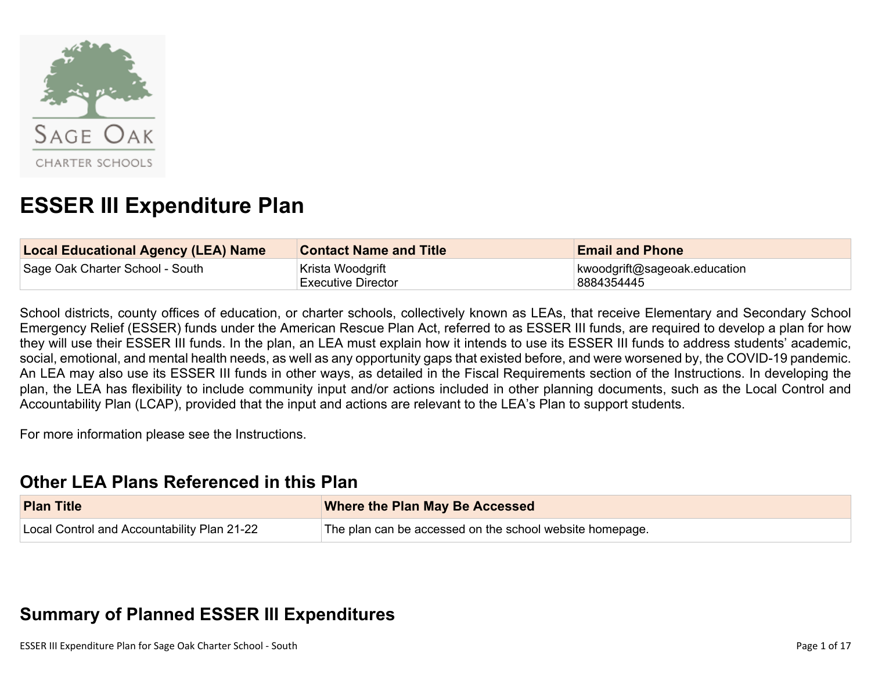

# **ESSER III Expenditure Plan**

| <b>Local Educational Agency (LEA) Name</b> | <b>Contact Name and Title</b>                 | <b>Email and Phone</b>                     |
|--------------------------------------------|-----------------------------------------------|--------------------------------------------|
| Sage Oak Charter School - South            | Krista Woodgrift<br><b>Executive Director</b> | kwoodgrift@sageoak.education<br>8884354445 |

School districts, county offices of education, or charter schools, collectively known as LEAs, that receive Elementary and Secondary School Emergency Relief (ESSER) funds under the American Rescue Plan Act, referred to as ESSER III funds, are required to develop a plan for how they will use their ESSER III funds. In the plan, an LEA must explain how it intends to use its ESSER III funds to address students' academic, social, emotional, and mental health needs, as well as any opportunity gaps that existed before, and were worsened by, the COVID-19 pandemic. An LEA may also use its ESSER III funds in other ways, as detailed in the Fiscal Requirements section of the Instructions. In developing the plan, the LEA has flexibility to include community input and/or actions included in other planning documents, such as the Local Control and Accountability Plan (LCAP), provided that the input and actions are relevant to the LEA's Plan to support students.

For more information please see the Instructions.

### **Other LEA Plans [Referenced](#page-11-0) in this Plan**

| <b>Plan Title</b>                           | <b>Where the Plan May Be Accessed</b>                    |
|---------------------------------------------|----------------------------------------------------------|
| Local Control and Accountability Plan 21-22 | The plan can be accessed on the school website homepage. |

## **Summary of Planned ESSER III [Expenditures](#page-11-1)**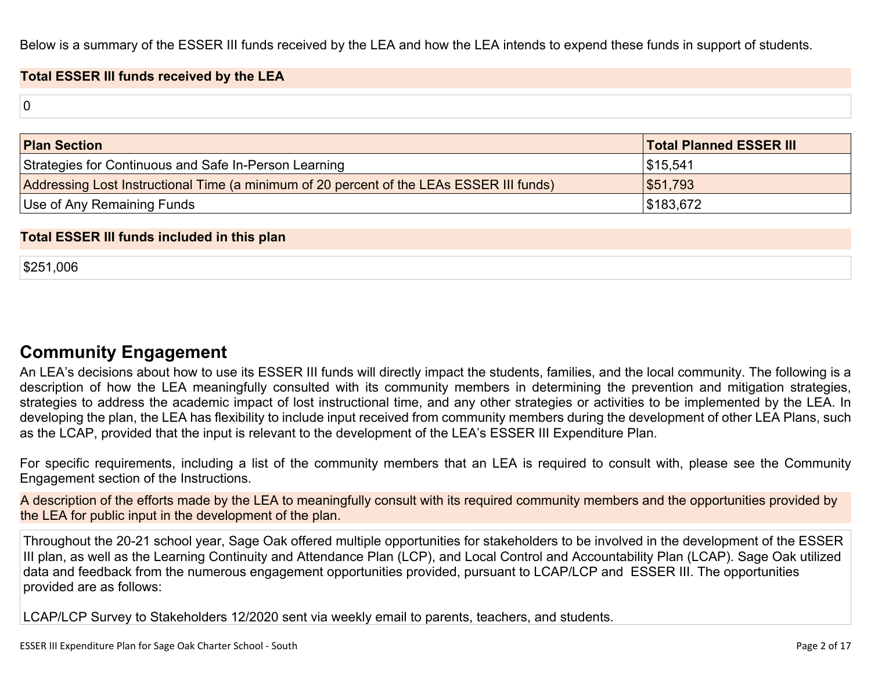Below is a summary of the ESSER III funds received by the LEA and how the LEA intends to expend these funds in support of students.

#### **Total ESSER III funds received by the LEA**

0

| <b>Plan Section</b>                                                                      | <b>Total Planned ESSER III</b> |
|------------------------------------------------------------------------------------------|--------------------------------|
| Strategies for Continuous and Safe In-Person Learning                                    | \$15,541                       |
| Addressing Lost Instructional Time (a minimum of 20 percent of the LEAs ESSER III funds) | \$51,793                       |
| Use of Any Remaining Funds                                                               | \$183,672                      |

#### **Total ESSER III funds included in this plan**

\$251,006

### **Community [Engagement](#page-12-0)**

An LEA's decisions about how to use its ESSER III funds will directly impact the students, families, and the local community. The following is a description of how the LEA meaningfully consulted with its community members in determining the prevention and mitigation strategies, strategies to address the academic impact of lost instructional time, and any other strategies or activities to be implemented by the LEA. In developing the plan, the LEA has flexibility to include input received from community members during the development of other LEA Plans, such as the LCAP, provided that the input is relevant to the development of the LEA's ESSER III Expenditure Plan.

For specific requirements, including a list of the community members that an LEA is required to consult with, please see the Community Engagement section of the Instructions.

A description of the efforts made by the LEA to meaningfully consult with its required community members and the opportunities provided by the LEA for public input in the development of the plan.

Throughout the 20-21 school year, Sage Oak offered multiple opportunities for stakeholders to be involved in the development of the ESSER III plan, as well as the Learning Continuity and Attendance Plan (LCP), and Local Control and Accountability Plan (LCAP). Sage Oak utilized data and feedback from the numerous engagement opportunities provided, pursuant to LCAP/LCP and ESSER III. The opportunities provided are as follows:

LCAP/LCP Survey to Stakeholders 12/2020 sent via weekly email to parents, teachers, and students.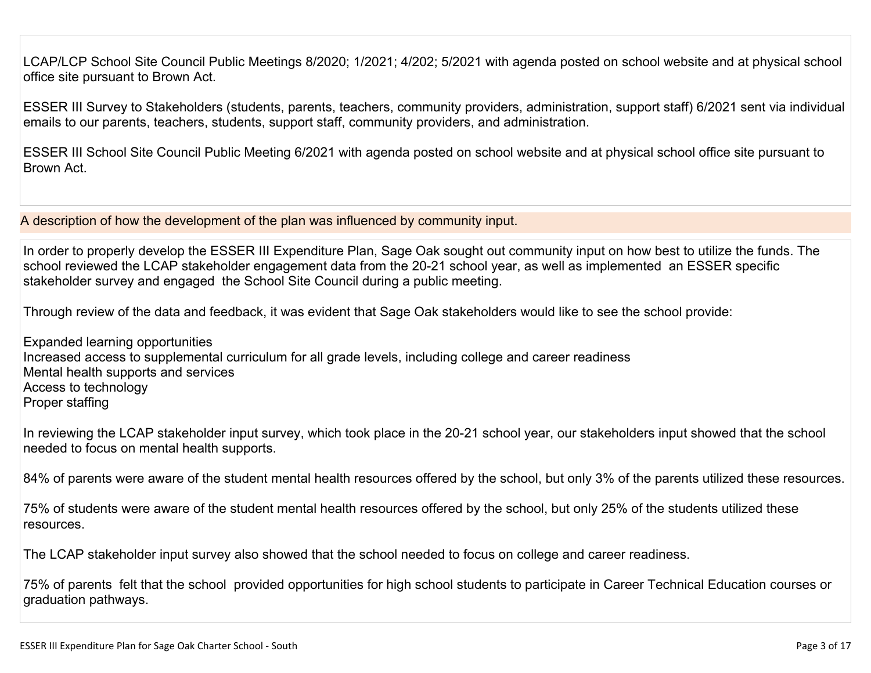LCAP/LCP School Site Council Public Meetings 8/2020; 1/2021; 4/202; 5/2021 with agenda posted on school website and at physical school office site pursuant to Brown Act.

ESSER III Survey to Stakeholders (students, parents, teachers, community providers, administration, support staff) 6/2021 sent via individual emails to our parents, teachers, students, support staff, community providers, and administration.

ESSER III School Site Council Public Meeting 6/2021 with agenda posted on school website and at physical school office site pursuant to Brown Act.

A description of how the development of the plan was influenced by community input.

In order to properly develop the ESSER III Expenditure Plan, Sage Oak sought out community input on how best to utilize the funds. The school reviewed the LCAP stakeholder engagement data from the 20-21 school year, as well as implemented an ESSER specific stakeholder survey and engaged the School Site Council during a public meeting.

Through review of the data and feedback, it was evident that Sage Oak stakeholders would like to see the school provide:

Expanded learning opportunities Increased access to supplemental curriculum for all grade levels, including college and career readiness Mental health supports and services Access to technology Proper staffing

In reviewing the LCAP stakeholder input survey, which took place in the 20-21 school year, our stakeholders input showed that the school needed to focus on mental health supports.

84% of parents were aware of the student mental health resources offered by the school, but only 3% of the parents utilized these resources.

75% of students were aware of the student mental health resources offered by the school, but only 25% of the students utilized these resources.

The LCAP stakeholder input survey also showed that the school needed to focus on college and career readiness.

75% of parents felt that the school provided opportunities for high school students to participate in Career Technical Education courses or graduation pathways.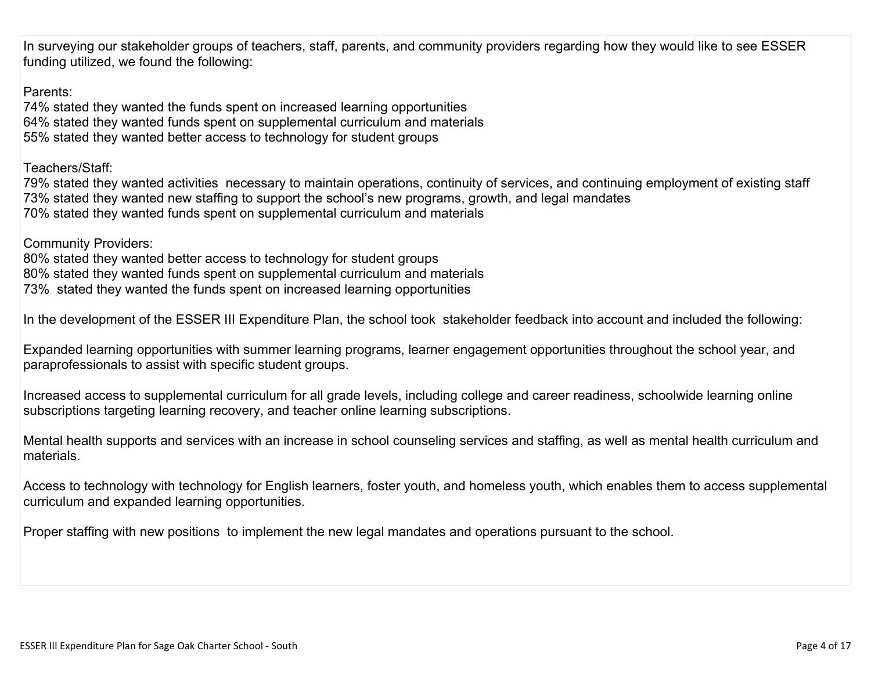In surveying our stakeholder groups of teachers, staff, parents, and community providers regarding how they would like to see ESSER funding utilized, we found the following:

Parents:

74% stated they wanted the funds spent on increased learning opportunities 64% stated they wanted funds spent on supplemental curriculum and materials 55% stated they wanted better access to technology for student groups

Teachers/Staff:

79% stated they wanted activities necessary to maintain operations, continuity of services, and continuing employment of existing staff 73% stated they wanted new staffing to support the school's new programs, growth, and legal mandates 70% stated they wanted funds spent on supplemental curriculum and materials

Community Providers:

80% stated they wanted better access to technology for student groups 80% stated they wanted funds spent on supplemental curriculum and materials 73% stated they wanted the funds spent on increased learning opportunities

In the development of the ESSER III Expenditure Plan, the school took stakeholder feedback into account and included the following:

Expanded learning opportunities with summer learning programs, learner engagement opportunities throughout the school year, and paraprofessionals to assist with specific student groups.

Increased access to supplemental curriculum for all grade levels, including college and career readiness, schoolwide learning online subscriptions targeting learning recovery, and teacher online learning subscriptions.

Mental health supports and services with an increase in school counseling services and staffing, as well as mental health curriculum and materials.

Access to technology with technology for English learners, foster youth, and homeless youth, which enables them to access supplemental curriculum and expanded learning opportunities.

Proper staffing with new positions to implement the new legal mandates and operations pursuant to the school.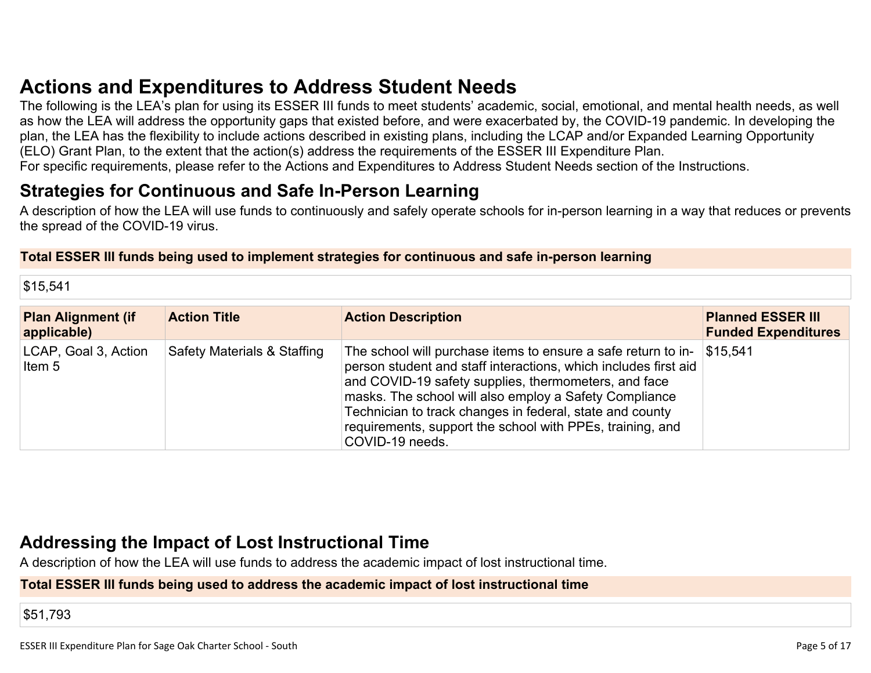## **Actions and [Expenditures](#page-14-0) to Address Student Needs**

The following is the LEA's plan for using its ESSER III funds to meet students' academic, social, emotional, and mental health needs, as well as how the LEA will address the opportunity gaps that existed before, and were exacerbated by, the COVID-19 pandemic. In developing the plan, the LEA has the flexibility to include actions described in existing plans, including the LCAP and/or Expanded Learning Opportunity (ELO) Grant Plan, to the extent that the action(s) address the requirements of the ESSER III Expenditure Plan. For specific requirements, please refer to the Actions and Expenditures to Address Student Needs section of the Instructions.

### **Strategies for [Continuous](#page-14-1) and Safe In-Person Learning**

A description of how the LEA will use funds to continuously and safely operate schools for in-person learning in a way that reduces or prevents the spread of the COVID-19 virus.

#### **Total ESSER III funds being used to implement strategies for continuous and safe in-person learning**

\$15,541

| <b>Plan Alignment (if</b><br>applicable) | <b>Action Title</b>                    | <b>Action Description</b>                                                                                                                                                                                                                                                                                                                                                                      | <b>Planned ESSER III</b><br><b>Funded Expenditures</b> |
|------------------------------------------|----------------------------------------|------------------------------------------------------------------------------------------------------------------------------------------------------------------------------------------------------------------------------------------------------------------------------------------------------------------------------------------------------------------------------------------------|--------------------------------------------------------|
| LCAP, Goal 3, Action<br>Item 5           | <b>Safety Materials &amp; Staffing</b> | The school will purchase items to ensure a safe return to in-<br>person student and staff interactions, which includes first aid<br>and COVID-19 safety supplies, thermometers, and face<br>masks. The school will also employ a Safety Compliance<br>Technician to track changes in federal, state and county<br>requirements, support the school with PPEs, training, and<br>COVID-19 needs. | \$15,541                                               |

## **Addressing the Impact of Lost [Instructional](#page-15-0) Tim[e](#page-15-0)**

A description of how the LEA will use funds to address the academic impact of lost instructional time.

#### **Total ESSER III funds being used to address the academic impact of lost instructional time**

\$51,793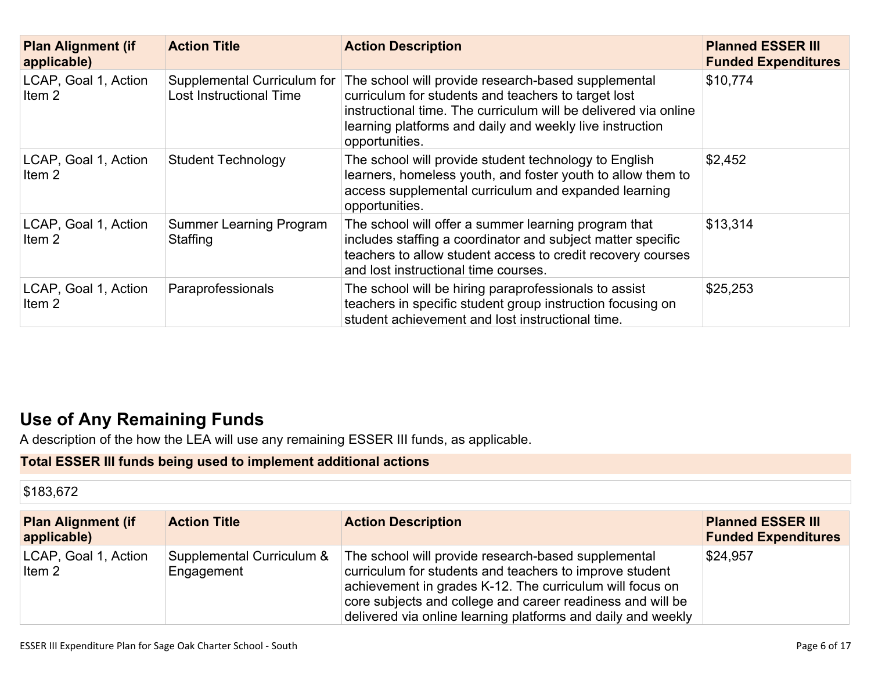| <b>Plan Alignment (if</b><br>applicable)  | <b>Action Title</b>                                    | <b>Action Description</b>                                                                                                                                                                                                                                   | <b>Planned ESSER III</b><br><b>Funded Expenditures</b> |
|-------------------------------------------|--------------------------------------------------------|-------------------------------------------------------------------------------------------------------------------------------------------------------------------------------------------------------------------------------------------------------------|--------------------------------------------------------|
| LCAP, Goal 1, Action<br>Item 2            | Supplemental Curriculum for<br>Lost Instructional Time | The school will provide research-based supplemental<br>curriculum for students and teachers to target lost<br>instructional time. The curriculum will be delivered via online<br>learning platforms and daily and weekly live instruction<br>opportunities. | \$10,774                                               |
| LCAP, Goal 1, Action<br>Item 2            | <b>Student Technology</b>                              | The school will provide student technology to English<br>learners, homeless youth, and foster youth to allow them to<br>access supplemental curriculum and expanded learning<br>opportunities.                                                              | \$2,452                                                |
| LCAP, Goal 1, Action<br>Item 2            | <b>Summer Learning Program</b><br>Staffing             | The school will offer a summer learning program that<br>includes staffing a coordinator and subject matter specific<br>teachers to allow student access to credit recovery courses<br>and lost instructional time courses.                                  | \$13,314                                               |
| LCAP, Goal 1, Action<br>Item <sub>2</sub> | Paraprofessionals                                      | The school will be hiring paraprofessionals to assist<br>teachers in specific student group instruction focusing on<br>student achievement and lost instructional time.                                                                                     | \$25,253                                               |

## **Use of Any [Remaining](#page-15-1) Fund[s](#page-15-1)**

A description of the how the LEA will use any remaining ESSER III funds, as applicable.

### **Total ESSER III funds being used to implement additional actions**

| \$183,672                                |                                         |                                                                                                                                                                                                                                                                                                          |                                                        |
|------------------------------------------|-----------------------------------------|----------------------------------------------------------------------------------------------------------------------------------------------------------------------------------------------------------------------------------------------------------------------------------------------------------|--------------------------------------------------------|
| <b>Plan Alignment (if</b><br>applicable) | <b>Action Title</b>                     | <b>Action Description</b>                                                                                                                                                                                                                                                                                | <b>Planned ESSER III</b><br><b>Funded Expenditures</b> |
| LCAP, Goal 1, Action<br>Item 2           | Supplemental Curriculum &<br>Engagement | The school will provide research-based supplemental<br>curriculum for students and teachers to improve student<br>achievement in grades K-12. The curriculum will focus on<br>core subjects and college and career readiness and will be<br>delivered via online learning platforms and daily and weekly | \$24,957                                               |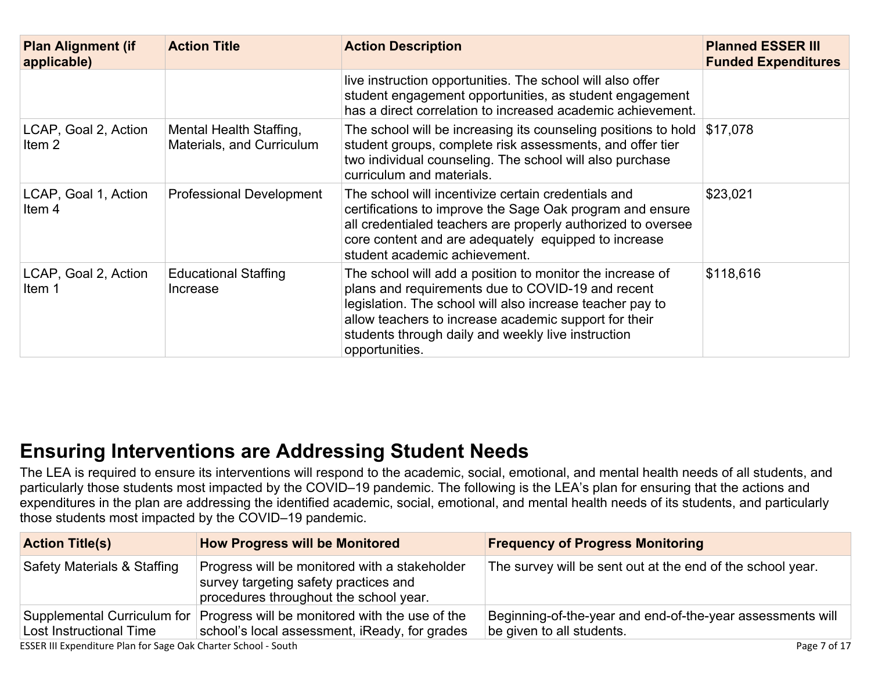| <b>Plan Alignment (if</b><br>applicable)  | <b>Action Title</b>                                  | <b>Action Description</b>                                                                                                                                                                                                                                                                                    | <b>Planned ESSER III</b><br><b>Funded Expenditures</b> |
|-------------------------------------------|------------------------------------------------------|--------------------------------------------------------------------------------------------------------------------------------------------------------------------------------------------------------------------------------------------------------------------------------------------------------------|--------------------------------------------------------|
|                                           |                                                      | live instruction opportunities. The school will also offer<br>student engagement opportunities, as student engagement<br>has a direct correlation to increased academic achievement.                                                                                                                         |                                                        |
| LCAP, Goal 2, Action<br>Item 2            | Mental Health Staffing,<br>Materials, and Curriculum | The school will be increasing its counseling positions to hold<br>student groups, complete risk assessments, and offer tier<br>two individual counseling. The school will also purchase<br>curriculum and materials.                                                                                         | \$17,078                                               |
| LCAP, Goal 1, Action<br>Item <sub>4</sub> | <b>Professional Development</b>                      | The school will incentivize certain credentials and<br>certifications to improve the Sage Oak program and ensure<br>all credentialed teachers are properly authorized to oversee<br>core content and are adequately equipped to increase<br>student academic achievement.                                    | \$23,021                                               |
| LCAP, Goal 2, Action<br>Item 1            | <b>Educational Staffing</b><br>Increase              | The school will add a position to monitor the increase of<br>plans and requirements due to COVID-19 and recent<br>legislation. The school will also increase teacher pay to<br>allow teachers to increase academic support for their<br>students through daily and weekly live instruction<br>opportunities. | \$118,616                                              |

## **Ensuring [Interventions](#page-15-2) are Addressing Student Need[s](#page-15-2)**

The LEA is required to ensure its interventions will respond to the academic, social, emotional, and mental health needs of all students, and particularly those students most impacted by the COVID–19 pandemic. The following is the LEA's plan for ensuring that the actions and expenditures in the plan are addressing the identified academic, social, emotional, and mental health needs of its students, and particularly those students most impacted by the COVID–19 pandemic.

| <b>Action Title(s)</b>         | <b>How Progress will be Monitored</b>                                                                                            | <b>Frequency of Progress Monitoring</b>                                                 |
|--------------------------------|----------------------------------------------------------------------------------------------------------------------------------|-----------------------------------------------------------------------------------------|
| Safety Materials & Staffing    | Progress will be monitored with a stakeholder<br>survey targeting safety practices and<br>procedures throughout the school year. | The survey will be sent out at the end of the school year.                              |
| <b>Lost Instructional Time</b> | Supplemental Curriculum for Progress will be monitored with the use of the<br>school's local assessment, iReady, for grades      | Beginning-of-the-year and end-of-the-year assessments will<br>be given to all students. |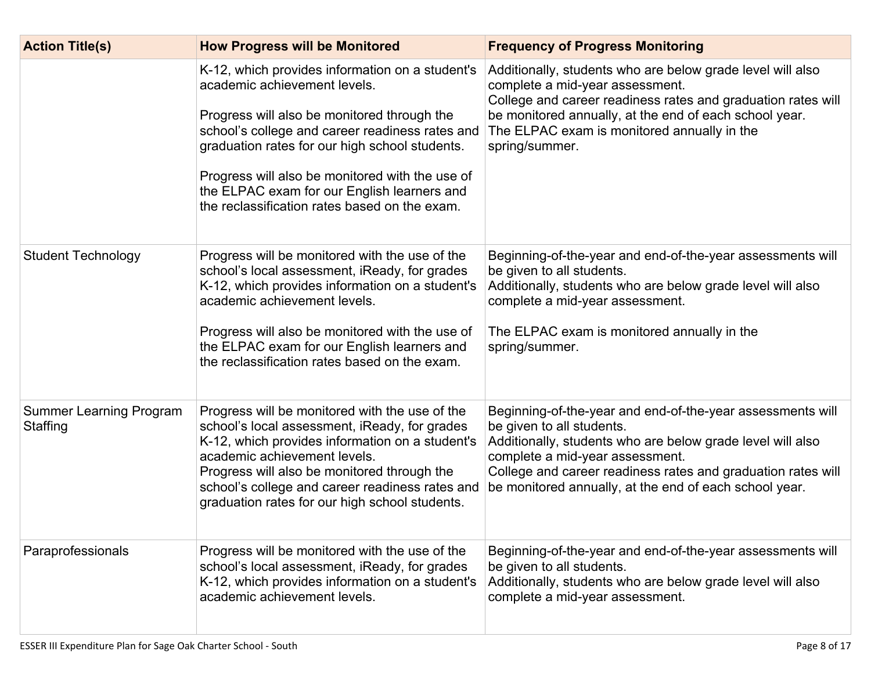| <b>Action Title(s)</b>                     | <b>How Progress will be Monitored</b>                                                                                                                                                                                                                                                                                                                                                  | <b>Frequency of Progress Monitoring</b>                                                                                                                                                                                                                                                                            |
|--------------------------------------------|----------------------------------------------------------------------------------------------------------------------------------------------------------------------------------------------------------------------------------------------------------------------------------------------------------------------------------------------------------------------------------------|--------------------------------------------------------------------------------------------------------------------------------------------------------------------------------------------------------------------------------------------------------------------------------------------------------------------|
|                                            | K-12, which provides information on a student's<br>academic achievement levels.<br>Progress will also be monitored through the<br>school's college and career readiness rates and<br>graduation rates for our high school students.<br>Progress will also be monitored with the use of<br>the ELPAC exam for our English learners and<br>the reclassification rates based on the exam. | Additionally, students who are below grade level will also<br>complete a mid-year assessment.<br>College and career readiness rates and graduation rates will<br>be monitored annually, at the end of each school year.<br>The ELPAC exam is monitored annually in the<br>spring/summer.                           |
| <b>Student Technology</b>                  | Progress will be monitored with the use of the<br>school's local assessment, iReady, for grades<br>K-12, which provides information on a student's<br>academic achievement levels.<br>Progress will also be monitored with the use of<br>the ELPAC exam for our English learners and<br>the reclassification rates based on the exam.                                                  | Beginning-of-the-year and end-of-the-year assessments will<br>be given to all students.<br>Additionally, students who are below grade level will also<br>complete a mid-year assessment.<br>The ELPAC exam is monitored annually in the<br>spring/summer.                                                          |
| <b>Summer Learning Program</b><br>Staffing | Progress will be monitored with the use of the<br>school's local assessment, iReady, for grades<br>K-12, which provides information on a student's<br>academic achievement levels.<br>Progress will also be monitored through the<br>school's college and career readiness rates and<br>graduation rates for our high school students.                                                 | Beginning-of-the-year and end-of-the-year assessments will<br>be given to all students.<br>Additionally, students who are below grade level will also<br>complete a mid-year assessment.<br>College and career readiness rates and graduation rates will<br>be monitored annually, at the end of each school year. |
| Paraprofessionals                          | Progress will be monitored with the use of the<br>school's local assessment, iReady, for grades<br>K-12, which provides information on a student's<br>academic achievement levels.                                                                                                                                                                                                     | Beginning-of-the-year and end-of-the-year assessments will<br>be given to all students.<br>Additionally, students who are below grade level will also<br>complete a mid-year assessment.                                                                                                                           |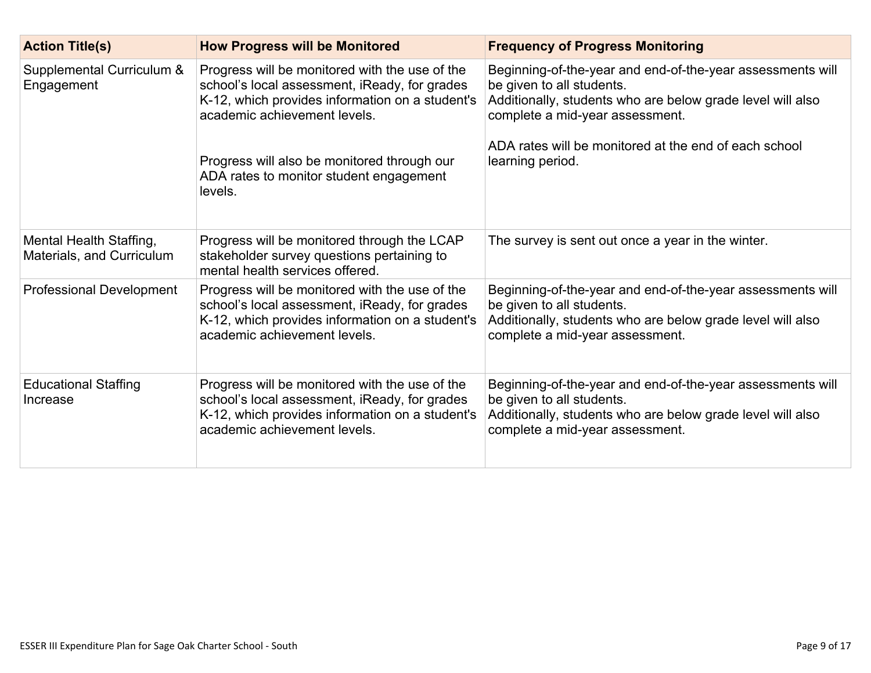| <b>Action Title(s)</b>                               | <b>How Progress will be Monitored</b>                                                                                                                                                                                                                                                   | <b>Frequency of Progress Monitoring</b>                                                                                                                                                                                                                               |
|------------------------------------------------------|-----------------------------------------------------------------------------------------------------------------------------------------------------------------------------------------------------------------------------------------------------------------------------------------|-----------------------------------------------------------------------------------------------------------------------------------------------------------------------------------------------------------------------------------------------------------------------|
| Supplemental Curriculum &<br>Engagement              | Progress will be monitored with the use of the<br>school's local assessment, iReady, for grades<br>K-12, which provides information on a student's<br>academic achievement levels.<br>Progress will also be monitored through our<br>ADA rates to monitor student engagement<br>levels. | Beginning-of-the-year and end-of-the-year assessments will<br>be given to all students.<br>Additionally, students who are below grade level will also<br>complete a mid-year assessment.<br>ADA rates will be monitored at the end of each school<br>learning period. |
|                                                      |                                                                                                                                                                                                                                                                                         |                                                                                                                                                                                                                                                                       |
| Mental Health Staffing,<br>Materials, and Curriculum | Progress will be monitored through the LCAP<br>stakeholder survey questions pertaining to<br>mental health services offered.                                                                                                                                                            | The survey is sent out once a year in the winter.                                                                                                                                                                                                                     |
| <b>Professional Development</b>                      | Progress will be monitored with the use of the<br>school's local assessment, iReady, for grades<br>K-12, which provides information on a student's<br>academic achievement levels.                                                                                                      | Beginning-of-the-year and end-of-the-year assessments will<br>be given to all students.<br>Additionally, students who are below grade level will also<br>complete a mid-year assessment.                                                                              |
| <b>Educational Staffing</b><br>Increase              | Progress will be monitored with the use of the<br>school's local assessment, iReady, for grades<br>K-12, which provides information on a student's<br>academic achievement levels.                                                                                                      | Beginning-of-the-year and end-of-the-year assessments will<br>be given to all students.<br>Additionally, students who are below grade level will also<br>complete a mid-year assessment.                                                                              |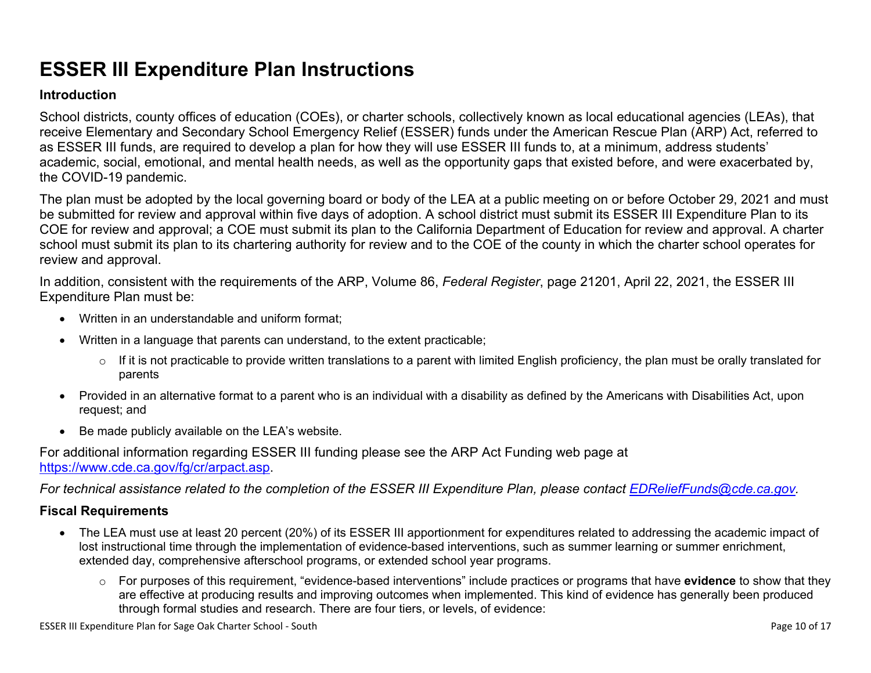# **ESSER III Expenditure Plan Instructions**

#### **Introduction**

School districts, county offices of education (COEs), or charter schools, collectively known as local educational agencies (LEAs), that receive Elementary and Secondary School Emergency Relief (ESSER) funds under the American Rescue Plan (ARP) Act, referred to as ESSER III funds, are required to develop a plan for how they will use ESSER III funds to, at a minimum, address students' academic, social, emotional, and mental health needs, as well as the opportunity gaps that existed before, and were exacerbated by, the COVID-19 pandemic.

The plan must be adopted by the local governing board or body of the LEA at a public meeting on or before October 29, 2021 and must be submitted for review and approval within five days of adoption. A school district must submit its ESSER III Expenditure Plan to its COE for review and approval; a COE must submit its plan to the California Department of Education for review and approval. A charter school must submit its plan to its chartering authority for review and to the COE of the county in which the charter school operates for review and approval.

In addition, consistent with the requirements of the ARP, Volume 86, *Federal Register*, page 21201, April 22, 2021, the ESSER III Expenditure Plan must be:

- Written in an understandable and uniform format;
- Written in a language that parents can understand, to the extent practicable;
	- $\circ$  If it is not practicable to provide written translations to a parent with limited English proficiency, the plan must be orally translated for parents
- Provided in an alternative format to a parent who is an individual with a disability as defined by the Americans with Disabilities Act, upon request; and
- Be made publicly available on the LEA's website.

For additional information regarding ESSER III funding please see the ARP Act Funding web page at <https://www.cde.ca.gov/fg/cr/arpact.asp>.

For technical assistance related to the completion of the ESSER III Expenditure Plan, please contact [EDReliefFunds@cde.ca.gov](mailto:EDReliefFunds@cde.ca.gov).

#### **Fiscal Requirements**

- The LEA must use at least 20 percent (20%) of its ESSER III apportionment for expenditures related to addressing the academic impact of lost instructional time through the implementation of evidence-based interventions, such as summer learning or summer enrichment, extended day, comprehensive afterschool programs, or extended school year programs.
	- o For purposes of this requirement, "evidence-based interventions" include practices or programs that have **evidence** to show that they are effective at producing results and improving outcomes when implemented. This kind of evidence has generally been produced through formal studies and research. There are four tiers, or levels, of evidence:

ESSER III Expenditure Plan for Sage Oak Charter School - South **Page 10** of 17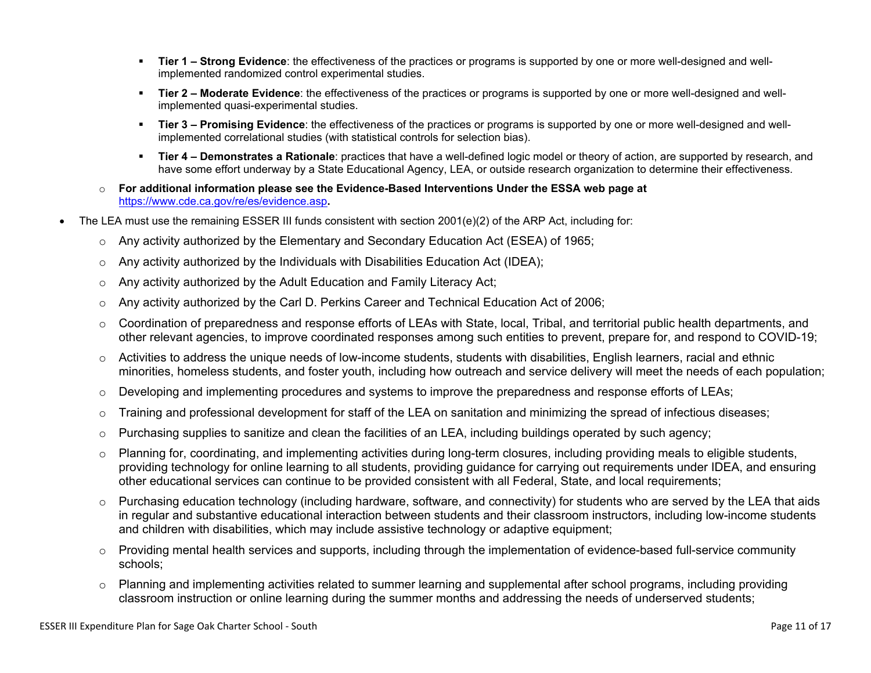- **Tier 1 – Strong Evidence**: the effectiveness of the practices or programs is supported by one or more well-designed and wellimplemented randomized control experimental studies.
- **Tier 2 – Moderate Evidence**: the effectiveness of the practices or programs is supported by one or more well-designed and wellimplemented quasi-experimental studies.
- **Tier 3 – Promising Evidence**: the effectiveness of the practices or programs is supported by one or more well-designed and wellimplemented correlational studies (with statistical controls for selection bias).
- **Tier 4 – Demonstrates a Rationale**: practices that have a well-defined logic model or theory of action, are supported by research, and have some effort underway by a State Educational Agency, LEA, or outside research organization to determine their effectiveness.
- o **For additional information please see the Evidence-Based Interventions Under the ESSA web page at** <https://www.cde.ca.gov/re/es/evidence.asp>**.**
- The LEA must use the remaining ESSER III funds consistent with section 2001(e)(2) of the ARP Act, including for:
	- $\circ$  Any activity authorized by the Elementary and Secondary Education Act (ESEA) of 1965;
	- $\circ$  Any activity authorized by the Individuals with Disabilities Education Act (IDEA);
	- o Any activity authorized by the Adult Education and Family Literacy Act;
	- $\circ$  Any activity authorized by the Carl D. Perkins Career and Technical Education Act of 2006;
	- $\circ$  Coordination of preparedness and response efforts of LEAs with State, local, Tribal, and territorial public health departments, and other relevant agencies, to improve coordinated responses among such entities to prevent, prepare for, and respond to COVID-19;
	- $\circ$  Activities to address the unique needs of low-income students, students with disabilities, English learners, racial and ethnic minorities, homeless students, and foster youth, including how outreach and service delivery will meet the needs of each population;
	- o Developing and implementing procedures and systems to improve the preparedness and response efforts of LEAs;
	- $\circ$  Training and professional development for staff of the LEA on sanitation and minimizing the spread of infectious diseases;
	- $\circ$  Purchasing supplies to sanitize and clean the facilities of an LEA, including buildings operated by such agency;
	- $\circ$  Planning for, coordinating, and implementing activities during long-term closures, including providing meals to eligible students, providing technology for online learning to all students, providing guidance for carrying out requirements under IDEA, and ensuring other educational services can continue to be provided consistent with all Federal, State, and local requirements;
	- $\circ$  Purchasing education technology (including hardware, software, and connectivity) for students who are served by the LEA that aids in regular and substantive educational interaction between students and their classroom instructors, including low-income students and children with disabilities, which may include assistive technology or adaptive equipment;
	- $\circ$  Providing mental health services and supports, including through the implementation of evidence-based full-service community schools;
	- o Planning and implementing activities related to summer learning and supplemental after school programs, including providing classroom instruction or online learning during the summer months and addressing the needs of underserved students;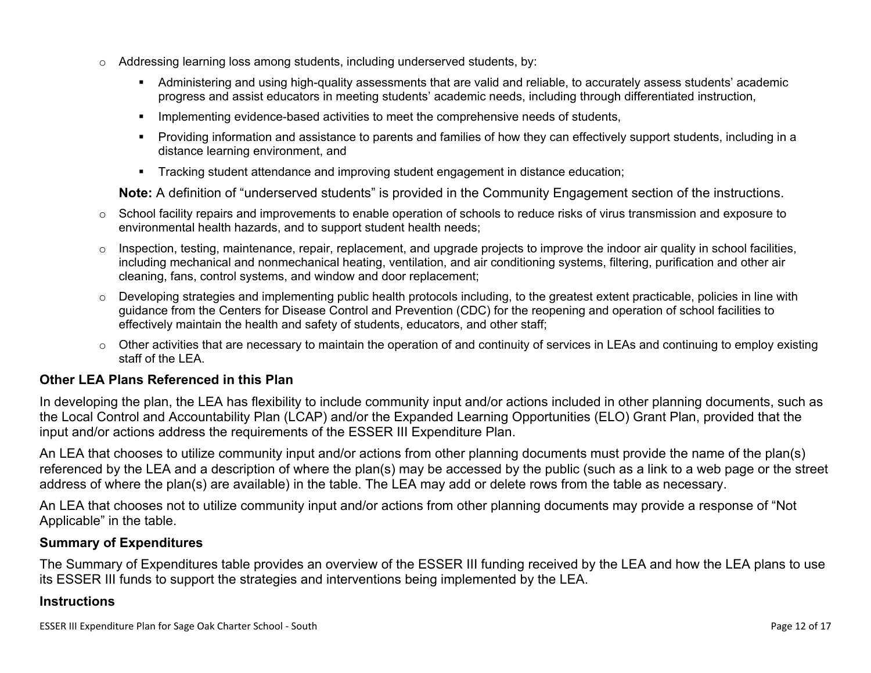- $\circ$  Addressing learning loss among students, including underserved students, by:
	- Administering and using high-quality assessments that are valid and reliable, to accurately assess students' academic progress and assist educators in meeting students' academic needs, including through differentiated instruction,
	- **IMPLEMENTER IMPLEMENT LIME STARK IMPLEMENT IMPLEMENT IMPLY** Implementing evidents,
	- Providing information and assistance to parents and families of how they can effectively support students, including in a distance learning environment, and
	- Tracking student attendance and improving student engagement in distance education;

**Note:** A definition of "underserved students" is provided in the Community Engagement section of the instructions.

- $\circ$  School facility repairs and improvements to enable operation of schools to reduce risks of virus transmission and exposure to environmental health hazards, and to support student health needs;
- $\circ$  Inspection, testing, maintenance, repair, replacement, and upgrade projects to improve the indoor air quality in school facilities, including mechanical and nonmechanical heating, ventilation, and air conditioning systems, filtering, purification and other air cleaning, fans, control systems, and window and door replacement;
- $\circ$  Developing strategies and implementing public health protocols including, to the greatest extent practicable, policies in line with guidance from the Centers for Disease Control and Prevention (CDC) for the reopening and operation of school facilities to effectively maintain the health and safety of students, educators, and other staff;
- $\circ$  Other activities that are necessary to maintain the operation of and continuity of services in LEAs and continuing to employ existing staff of the LEA.

#### <span id="page-11-0"></span>**Other LEA Plans Referenced in this Plan**

In developing the plan, the LEA has flexibility to include community input and/or actions included in other planning documents, such as the Local Control and Accountability Plan (LCAP) and/or the Expanded Learning Opportunities (ELO) Grant Plan, provided that the input and/or actions address the requirements of the ESSER III Expenditure Plan.

An LEA that chooses to utilize community input and/or actions from other planning documents must provide the name of the plan(s) referenced by the LEA and a description of where the plan(s) may be accessed by the public (such as a link to a web page or the street address of where the plan(s) are available) in the table. The LEA may add or delete rows from the table as necessary.

An LEA that chooses not to utilize community input and/or actions from other planning documents may provide a response of "Not Applicable" in the table.

#### <span id="page-11-1"></span>**Summary of Expenditures**

The Summary of Expenditures table provides an overview of the ESSER III funding received by the LEA and how the LEA plans to use its ESSER III funds to support the strategies and interventions being implemented by the LEA.

#### **Instructions**

ESSER III Expenditure Plan for Sage Oak Charter School - South **Page 12 of 17** and the School - South Page 12 of 17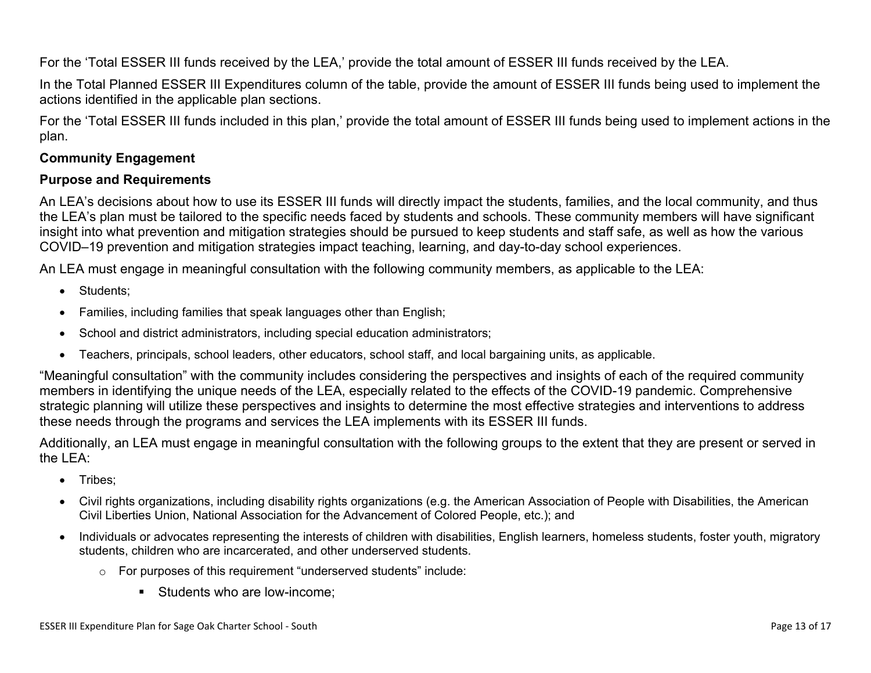For the 'Total ESSER III funds received by the LEA,' provide the total amount of ESSER III funds received by the LEA.

In the Total Planned ESSER III Expenditures column of the table, provide the amount of ESSER III funds being used to implement the actions identified in the applicable plan sections.

For the 'Total ESSER III funds included in this plan,' provide the total amount of ESSER III funds being used to implement actions in the plan.

#### <span id="page-12-0"></span>**Community Engagement**

#### **Purpose and Requirements**

An LEA's decisions about how to use its ESSER III funds will directly impact the students, families, and the local community, and thus the LEA's plan must be tailored to the specific needs faced by students and schools. These community members will have significant insight into what prevention and mitigation strategies should be pursued to keep students and staff safe, as well as how the various COVID–19 prevention and mitigation strategies impact teaching, learning, and day-to-day school experiences.

An LEA must engage in meaningful consultation with the following community members, as applicable to the LEA:

- Students:
- Families, including families that speak languages other than English;
- School and district administrators, including special education administrators;
- Teachers, principals, school leaders, other educators, school staff, and local bargaining units, as applicable.

"Meaningful consultation" with the community includes considering the perspectives and insights of each of the required community members in identifying the unique needs of the LEA, especially related to the effects of the COVID-19 pandemic. Comprehensive strategic planning will utilize these perspectives and insights to determine the most effective strategies and interventions to address these needs through the programs and services the LEA implements with its ESSER III funds.

Additionally, an LEA must engage in meaningful consultation with the following groups to the extent that they are present or served in the LEA:

- Tribes;
- Civil rights organizations, including disability rights organizations (e.g. the American Association of People with Disabilities, the American Civil Liberties Union, National Association for the Advancement of Colored People, etc.); and
- Individuals or advocates representing the interests of children with disabilities, English learners, homeless students, foster youth, migratory students, children who are incarcerated, and other underserved students.
	- o For purposes of this requirement "underserved students" include:
		- **Students who are low-income:**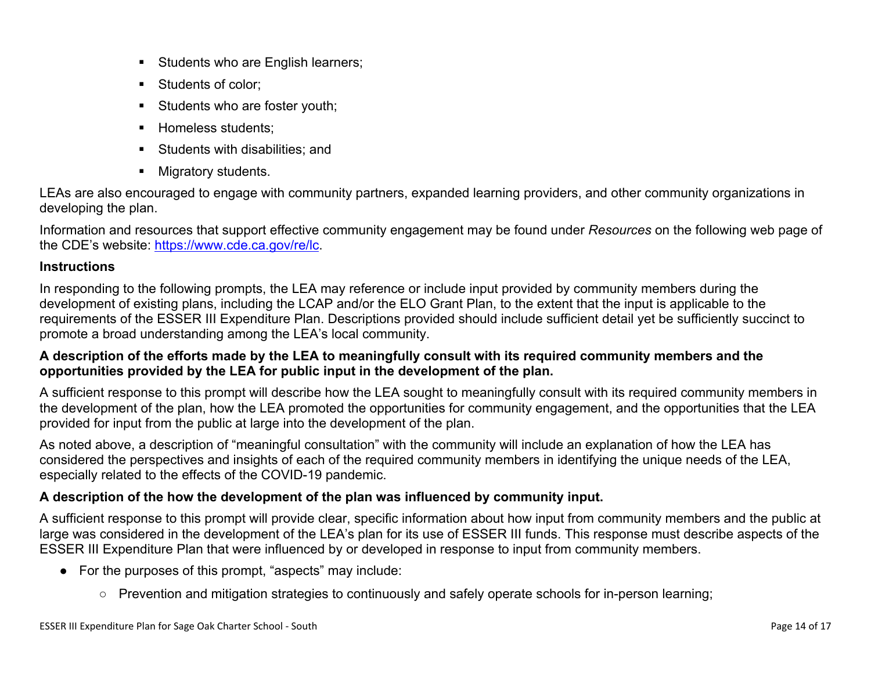- Students who are English learners;
- Students of color:
- Students who are foster youth;
- Homeless students;
- **Students with disabilities: and**
- **Migratory students.**

LEAs are also encouraged to engage with community partners, expanded learning providers, and other community organizations in developing the plan.

Information and resources that support effective community engagement may be found under *Resources* on the following web page of the CDE's website: <https://www.cde.ca.gov/re/lc>.

#### **Instructions**

In responding to the following prompts, the LEA may reference or include input provided by community members during the development of existing plans, including the LCAP and/or the ELO Grant Plan, to the extent that the input is applicable to the requirements of the ESSER III Expenditure Plan. Descriptions provided should include sufficient detail yet be sufficiently succinct to promote a broad understanding among the LEA's local community.

#### A description of the efforts made by the LEA to meaningfully consult with its required community members and the **opportunities provided by the LEA for public input in the development of the plan.**

A sufficient response to this prompt will describe how the LEA sought to meaningfully consult with its required community members in the development of the plan, how the LEA promoted the opportunities for community engagement, and the opportunities that the LEA provided for input from the public at large into the development of the plan.

As noted above, a description of "meaningful consultation" with the community will include an explanation of how the LEA has considered the perspectives and insights of each of the required community members in identifying the unique needs of the LEA, especially related to the effects of the COVID-19 pandemic.

#### **A description of the how the development of the plan was influenced by community input.**

A sufficient response to this prompt will provide clear, specific information about how input from community members and the public at large was considered in the development of the LEA's plan for its use of ESSER III funds. This response must describe aspects of the ESSER III Expenditure Plan that were influenced by or developed in response to input from community members.

- For the purposes of this prompt, "aspects" may include:
	- Prevention and mitigation strategies to continuously and safely operate schools for in-person learning;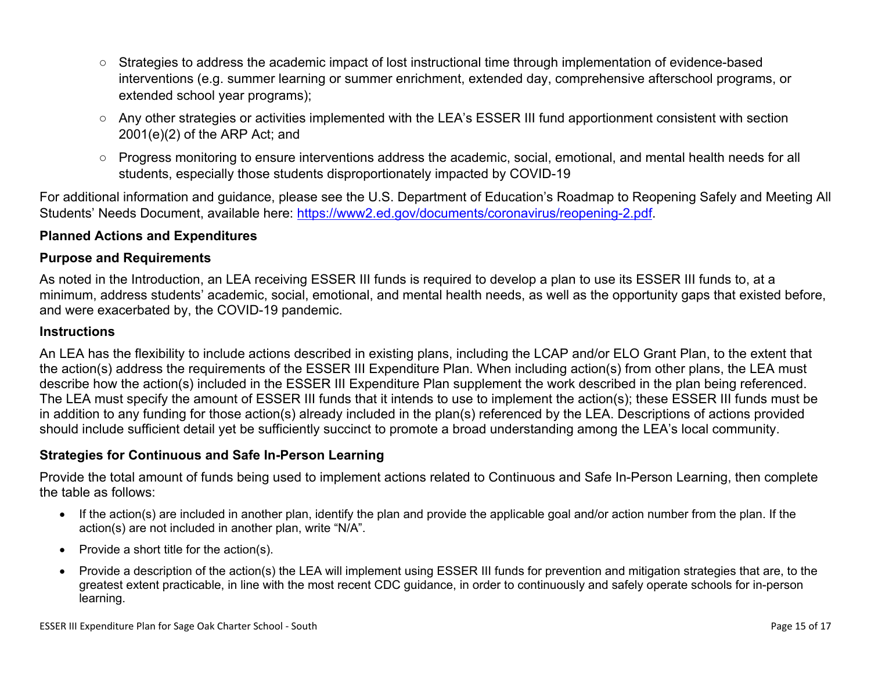- Strategies to address the academic impact of lost instructional time through implementation of evidence-based interventions (e.g. summer learning or summer enrichment, extended day, comprehensive afterschool programs, or extended school year programs);
- Any other strategies or activities implemented with the LEA's ESSER III fund apportionment consistent with section 2001(e)(2) of the ARP Act; and
- Progress monitoring to ensure interventions address the academic, social, emotional, and mental health needs for all students, especially those students disproportionately impacted by COVID-19

For additional information and guidance, please see the U.S. Department of Education's Roadmap to Reopening Safely and Meeting All Students' Needs Document, available here: [https://www2.ed.gov/documents/coronavirus/reopening-2.pdf.](https://www2.ed.gov/documents/coronavirus/reopening-2.pdf)

#### <span id="page-14-0"></span>**Planned Actions and Expenditures**

#### **Purpose and Requirements**

As noted in the Introduction, an LEA receiving ESSER III funds is required to develop a plan to use its ESSER III funds to, at a minimum, address students' academic, social, emotional, and mental health needs, as well as the opportunity gaps that existed before, and were exacerbated by, the COVID-19 pandemic.

#### **Instructions**

An LEA has the flexibility to include actions described in existing plans, including the LCAP and/or ELO Grant Plan, to the extent that the action(s) address the requirements of the ESSER III Expenditure Plan. When including action(s) from other plans, the LEA must describe how the action(s) included in the ESSER III Expenditure Plan supplement the work described in the plan being referenced. The LEA must specify the amount of ESSER III funds that it intends to use to implement the action(s); these ESSER III funds must be in addition to any funding for those action(s) already included in the plan(s) referenced by the LEA. Descriptions of actions provided should include sufficient detail yet be sufficiently succinct to promote a broad understanding among the LEA's local community.

#### <span id="page-14-1"></span>**Strategies for Continuous and Safe In-Person Learning**

Provide the total amount of funds being used to implement actions related to Continuous and Safe In-Person Learning, then complete the table as follows:

- If the action(s) are included in another plan, identify the plan and provide the applicable goal and/or action number from the plan. If the action(s) are not included in another plan, write "N/A".
- Provide a short title for the  $action(s)$ .
- Provide a description of the action(s) the LEA will implement using ESSER III funds for prevention and mitigation strategies that are, to the greatest extent practicable, in line with the most recent CDC guidance, in order to continuously and safely operate schools for in-person learning.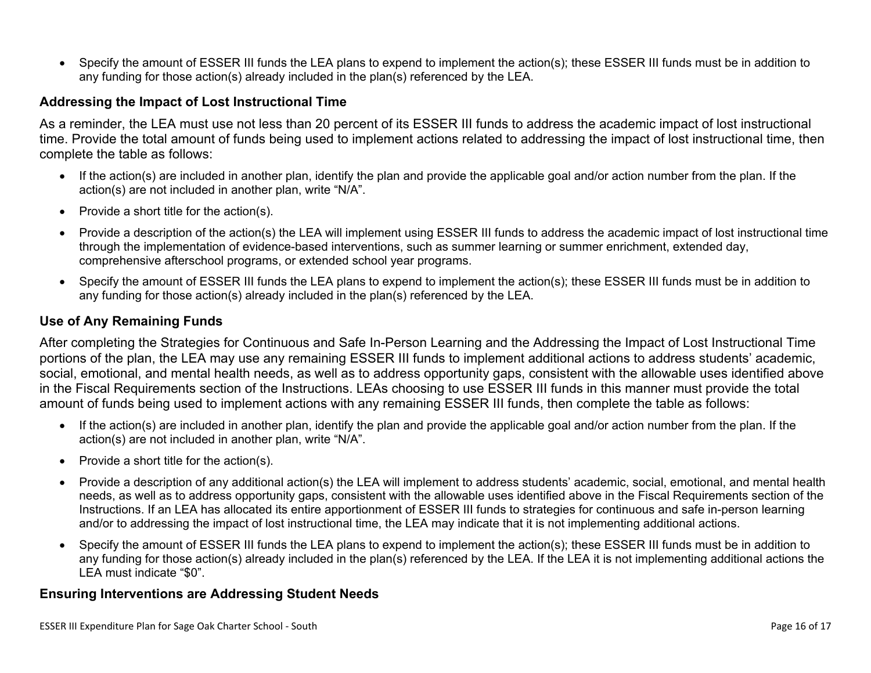Specify the amount of ESSER III funds the LEA plans to expend to implement the action(s); these ESSER III funds must be in addition to any funding for those action(s) already included in the plan(s) referenced by the LEA.

#### <span id="page-15-0"></span>**Addressing the Impact of Lost Instructional Time**

As a reminder, the LEA must use not less than 20 percent of its ESSER III funds to address the academic impact of lost instructional time. Provide the total amount of funds being used to implement actions related to addressing the impact of lost instructional time, then complete the table as follows:

- If the action(s) are included in another plan, identify the plan and provide the applicable goal and/or action number from the plan. If the action(s) are not included in another plan, write "N/A".
- Provide a short title for the  $action(s)$ .
- Provide a description of the action(s) the LEA will implement using ESSER III funds to address the academic impact of lost instructional time through the implementation of evidence-based interventions, such as summer learning or summer enrichment, extended day, comprehensive afterschool programs, or extended school year programs.
- Specify the amount of ESSER III funds the LEA plans to expend to implement the action(s); these ESSER III funds must be in addition to any funding for those action(s) already included in the plan(s) referenced by the LEA.

#### <span id="page-15-1"></span>**Use of Any Remaining Funds**

After completing the Strategies for Continuous and Safe In-Person Learning and the Addressing the Impact of Lost Instructional Time portions of the plan, the LEA may use any remaining ESSER III funds to implement additional actions to address students' academic, social, emotional, and mental health needs, as well as to address opportunity gaps, consistent with the allowable uses identified above in the Fiscal Requirements section of the Instructions. LEAs choosing to use ESSER III funds in this manner must provide the total amount of funds being used to implement actions with any remaining ESSER III funds, then complete the table as follows:

- If the action(s) are included in another plan, identify the plan and provide the applicable goal and/or action number from the plan. If the action(s) are not included in another plan, write "N/A".
- Provide a short title for the  $action(s)$ .
- Provide a description of any additional action(s) the LEA will implement to address students' academic, social, emotional, and mental health needs, as well as to address opportunity gaps, consistent with the allowable uses identified above in the Fiscal Requirements section of the Instructions. If an LEA has allocated its entire apportionment of ESSER III funds to strategies for continuous and safe in-person learning and/or to addressing the impact of lost instructional time, the LEA may indicate that it is not implementing additional actions.
- Specify the amount of ESSER III funds the LEA plans to expend to implement the action(s); these ESSER III funds must be in addition to any funding for those action(s) already included in the plan(s) referenced by the LEA. If the LEA it is not implementing additional actions the LEA must indicate "\$0".

#### <span id="page-15-2"></span>**Ensuring Interventions are Addressing Student Needs**